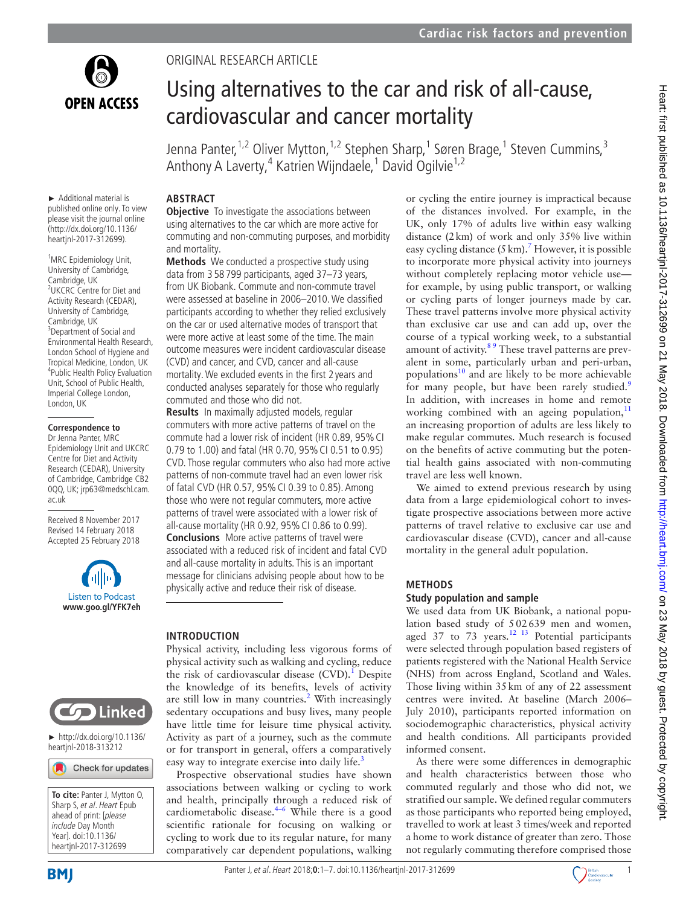

► Additional material is published online only. To view please visit the journal online (http://dx.doi.org/10.1136/ heartjnl-2017-312699).

<sup>1</sup>MRC Epidemiology Unit, University of Cambridge, Cambridge, UK 2 UKCRC Centre for Diet and Activity Research (CEDAR), University of Cambridge, Cambridge, UK <sup>3</sup>Department of Social and Environmental Health Research, London School of Hygiene and Tropical Medicine, London, UK <sup>4</sup> Public Health Policy Evaluation Unit, School of Public Health, Imperial College London, London, UK

#### **Correspondence to**

Dr Jenna Panter, MRC Epidemiology Unit and UKCRC Centre for Diet and Activity Research (CEDAR), University of Cambridge, Cambridge CB2 0QQ, UK; jrp63@medschl.cam. ac.uk

Received 8 November 2017 Revised 14 February 2018 Accepted 25 February 2018





► [http://dx.doi.org/10.1136/](http://dx.doi.org/10.1136/heartjnl-2018-313212) [heartjnl-2018-313212](http://dx.doi.org/10.1136/heartjnl-2018-313212)

Check for updates

**To cite:** Panter J, Mytton O, Sharp S, et al. Heart Epub ahead of print: [please include Day Month Year]. doi:10.1136/ heartjnl-2017-312699



# Original research article

# Using alternatives to the car and risk of all-cause, cardiovascular and cancer mortality

Jenna Panter,<sup>1,2</sup> Oliver Mytton,<sup>1,2</sup> Stephen Sharp,<sup>1</sup> Søren Brage,<sup>1</sup> Steven Cummins,<sup>3</sup> Anthony A Laverty,<sup>4</sup> Katrien Wijndaele,<sup>1</sup> David Ogilvie<sup>1,2</sup>

# **Abstract**

**Objective** To investigate the associations between using alternatives to the car which are more active for commuting and non-commuting purposes, and morbidity and mortality.

**Methods** We conducted a prospective study using data from 3 58 799 participants, aged 37–73 years, from UK Biobank. Commute and non-commute travel were assessed at baseline in 2006–2010. We classified participants according to whether they relied exclusively on the car or used alternative modes of transport that were more active at least some of the time. The main outcome measures were incident cardiovascular disease (CVD) and cancer, and CVD, cancer and all-cause mortality. We excluded events in the first 2 years and conducted analyses separately for those who regularly commuted and those who did not.

**Results** In maximally adjusted models, regular commuters with more active patterns of travel on the commute had a lower risk of incident (HR 0.89, 95% CI 0.79 to 1.00) and fatal (HR 0.70, 95% CI 0.51 to 0.95) CVD. Those regular commuters who also had more active patterns of non-commute travel had an even lower risk of fatal CVD (HR 0.57, 95% CI 0.39 to 0.85). Among those who were not regular commuters, more active patterns of travel were associated with a lower risk of all-cause mortality (HR 0.92, 95% CI 0.86 to 0.99). **Conclusions** More active patterns of travel were associated with a reduced risk of incident and fatal CVD and all-cause mortality in adults. This is an important message for clinicians advising people about how to be physically active and reduce their risk of disease.

## **Introduction**

Physical activity, including less vigorous forms of physical activity such as walking and cycling, reduce the risk of cardiovascular disease  $(CVD)$ .<sup>[1](#page-5-0)</sup> Despite the knowledge of its benefits, levels of activity are still low in many countries.<sup>[2](#page-5-1)</sup> With increasingly sedentary occupations and busy lives, many people have little time for leisure time physical activity. Activity as part of a journey, such as the commute or for transport in general, offers a comparatively easy way to integrate exercise into daily life.<sup>[3](#page-5-2)</sup>

Prospective observational studies have shown associations between walking or cycling to work and health, principally through a reduced risk of cardiometabolic disease. $4-6$  While there is a good scientific rationale for focusing on walking or cycling to work due to its regular nature, for many comparatively car dependent populations, walking

or cycling the entire journey is impractical because of the distances involved. For example, in the UK, only 17% of adults live within easy walking distance (2km) of work and only 35% live within easy cycling distance (5 km).<sup>[7](#page-5-4)</sup> However, it is possible to incorporate more physical activity into journeys without completely replacing motor vehicle use for example, by using public transport, or walking or cycling parts of longer journeys made by car. These travel patterns involve more physical activity than exclusive car use and can add up, over the course of a typical working week, to a substantial amount of activity.[8 9](#page-5-5) These travel patterns are prevalent in some, particularly urban and peri-urban, populations[10](#page-5-6) and are likely to be more achievable for many people, but have been rarely studied.<sup>[9](#page-5-7)</sup> In addition, with increases in home and remote working combined with an ageing population, $11$ an increasing proportion of adults are less likely to make regular commutes. Much research is focused on the benefits of active commuting but the potential health gains associated with non-commuting travel are less well known.

We aimed to extend previous research by using data from a large epidemiological cohort to investigate prospective associations between more active patterns of travel relative to exclusive car use and cardiovascular disease (CVD), cancer and all-cause mortality in the general adult population.

## **Methods**

## **Study population and sample**

We used data from UK Biobank, a national population based study of 502639 men and women, aged 37 to 73 years.<sup>[12 13](#page-5-9)</sup> Potential participants were selected through population based registers of patients registered with the National Health Service (NHS) from across England, Scotland and Wales. Those living within 35km of any of 22 assessment centres were invited. At baseline (March 2006– July 2010), participants reported information on sociodemographic characteristics, physical activity and health conditions. All participants provided informed consent.

As there were some differences in demographic and health characteristics between those who commuted regularly and those who did not, we stratified our sample. We defined regular commuters as those participants who reported being employed, travelled to work at least 3 times/week and reported a home to work distance of greater than zero. Those not regularly commuting therefore comprised those

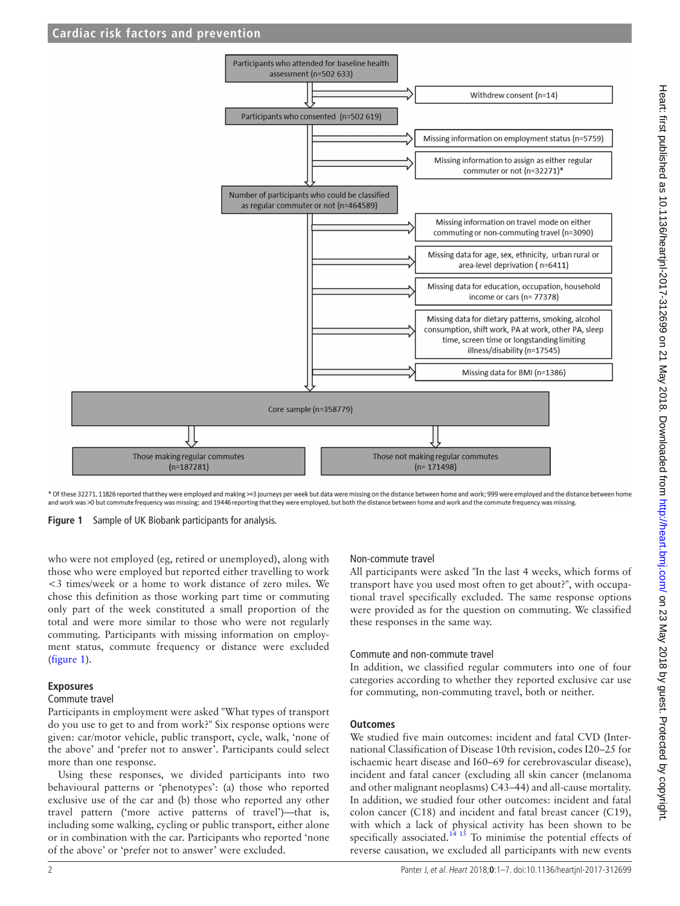



<span id="page-1-0"></span>\* Of these 32271, 11826 reported that they were employed and making >=3 journeys per week but data were missing on the distance between home and work; 999 were employed and the distance between home and work was >0 but commute frequency was missing; and 19446 reporting that they were employed, but both the distance between home and work and the commute frequency was missing.

**Figure 1** Sample of UK Biobank participants for analysis.

who were not employed (eg, retired or unemployed), along with those who were employed but reported either travelling to work <3 times/week or a home to work distance of zero miles. We chose this definition as those working part time or commuting only part of the week constituted a small proportion of the total and were more similar to those who were not regularly commuting. Participants with missing information on employment status, commute frequency or distance were excluded ([figure](#page-1-0) 1).

# **Exposures**

# Commute travel

Participants in employment were asked "What types of transport do you use to get to and from work?" Six response options were given: car/motor vehicle, public transport, cycle, walk, 'none of the above' and 'prefer not to answer'. Participants could select more than one response.

Using these responses, we divided participants into two behavioural patterns or 'phenotypes': (a) those who reported exclusive use of the car and (b) those who reported any other travel pattern ('more active patterns of travel')—that is, including some walking, cycling or public transport, either alone or in combination with the car. Participants who reported 'none of the above' or 'prefer not to answer' were excluded.

## Non-commute travel

All participants were asked "In the last 4 weeks, which forms of transport have you used most often to get about?", with occupational travel specifically excluded. The same response options were provided as for the question on commuting. We classified these responses in the same way.

## Commute and non-commute travel

In addition, we classified regular commuters into one of four categories according to whether they reported exclusive car use for commuting, non-commuting travel, both or neither.

## **Outcomes**

We studied five main outcomes: incident and fatal CVD (International Classification of Disease 10th revision, codes I20–25 for ischaemic heart disease and I60–69 for cerebrovascular disease), incident and fatal cancer (excluding all skin cancer (melanoma and other malignant neoplasms) C43–44) and all-cause mortality. In addition, we studied four other outcomes: incident and fatal colon cancer (C18) and incident and fatal breast cancer (C19), with which a lack of physical activity has been shown to be specifically associated.<sup>14 15</sup> To minimise the potential effects of reverse causation, we excluded all participants with new events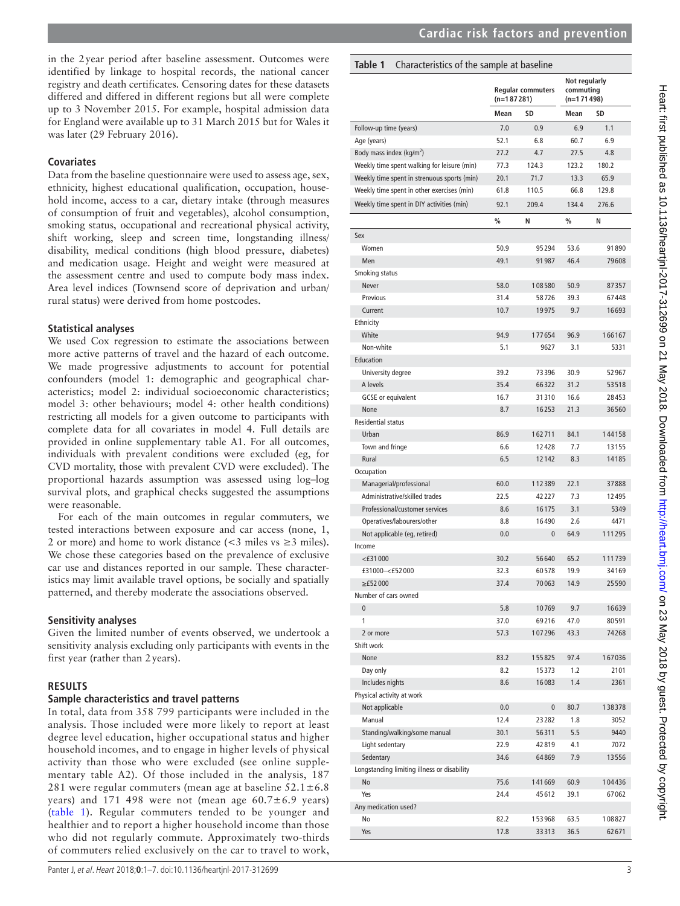in the 2year period after baseline assessment. Outcomes were identified by linkage to hospital records, the national cancer registry and death certificates. Censoring dates for these datasets differed and differed in different regions but all were complete up to 3 November 2015. For example, hospital admission data for England were available up to 31 March 2015 but for Wales it was later (29 February 2016).

#### **Covariates**

Data from the baseline questionnaire were used to assess age, sex, ethnicity, highest educational qualification, occupation, household income, access to a car, dietary intake (through measures of consumption of fruit and vegetables), alcohol consumption, smoking status, occupational and recreational physical activity, shift working, sleep and screen time, longstanding illness/ disability, medical conditions (high blood pressure, diabetes) and medication usage. Height and weight were measured at the assessment centre and used to compute body mass index. Area level indices (Townsend score of deprivation and urban/ rural status) were derived from home postcodes.

#### **Statistical analyses**

We used Cox regression to estimate the associations between more active patterns of travel and the hazard of each outcome. We made progressive adjustments to account for potential confounders (model 1: demographic and geographical characteristics; model 2: individual socioeconomic characteristics; model 3: other behaviours; model 4: other health conditions) restricting all models for a given outcome to participants with complete data for all covariates in model 4. Full details are provided in online [supplementary table A1](https://dx.doi.org/10.1136/heartjnl-2017-312699). For all outcomes, individuals with prevalent conditions were excluded (eg, for CVD mortality, those with prevalent CVD were excluded). The proportional hazards assumption was assessed using log–log survival plots, and graphical checks suggested the assumptions were reasonable.

For each of the main outcomes in regular commuters, we tested interactions between exposure and car access (none, 1, 2 or more) and home to work distance  $\leq$  3 miles vs  $\geq$  3 miles). We chose these categories based on the prevalence of exclusive car use and distances reported in our sample. These characteristics may limit available travel options, be socially and spatially patterned, and thereby moderate the associations observed.

#### **Sensitivity analyses**

Given the limited number of events observed, we undertook a sensitivity analysis excluding only participants with events in the first year (rather than 2years).

#### **Results**

#### **Sample characteristics and travel patterns**

In total, data from 358 799 participants were included in the analysis. Those included were more likely to report at least degree level education, higher occupational status and higher household incomes, and to engage in higher levels of physical activity than those who were excluded (see online [supple](https://dx.doi.org/10.1136/heartjnl-2017-312699)[mentary table A2](https://dx.doi.org/10.1136/heartjnl-2017-312699)). Of those included in the analysis, 187 281 were regular commuters (mean age at baseline  $52.1 \pm 6.8$ years) and 171 498 were not (mean age  $60.7 \pm 6.9$  years) (table 1). Regular commuters tended to be younger and healthier and to report a higher household income than those who did not regularly commute. Approximately two-thirds of commuters relied exclusively on the car to travel to work,

# **Table 1** Characteristics of the sample at baseline

|                                                 |               | <b>Reqular commuters</b><br>$(n=187281)$ |               | Not regularly<br>commuting<br>$(n=171498)$ |  |
|-------------------------------------------------|---------------|------------------------------------------|---------------|--------------------------------------------|--|
|                                                 | Mean          | SD                                       | Mean          | SD                                         |  |
| Follow-up time (years)                          | 7.0           | 0.9                                      | 6.9           | 1.1                                        |  |
| Age (years)                                     | 52.1          | 6.8                                      | 60.7          | 6.9                                        |  |
| Body mass index (kg/m <sup>2</sup> )            | 27.2          | 4.7                                      | 27.5          | 4.8                                        |  |
| Weekly time spent walking for leisure (min)     | 77.3          | 124.3                                    | 123.2         | 180.2                                      |  |
| Weekly time spent in strenuous sports (min)     | 20.1          | 71.7                                     | 13.3          | 65.9                                       |  |
| Weekly time spent in other exercises (min)      | 61.8          | 110.5                                    | 66.8          | 129.8                                      |  |
| Weekly time spent in DIY activities (min)       | 92.1          | 209.4                                    | 134.4         | 276.6                                      |  |
|                                                 | $\frac{0}{0}$ | N                                        | $\frac{0}{0}$ | Ν                                          |  |
| Sex                                             |               |                                          |               |                                            |  |
| Women                                           | 50.9          | 95294                                    | 53.6          | 91890                                      |  |
| Men                                             | 49.1          | 91987                                    | 46.4          | 79608                                      |  |
| Smoking status                                  |               |                                          |               |                                            |  |
| Never                                           | 58.0          | 108580                                   | 50.9          | 87357                                      |  |
| Previous                                        | 31.4          | 58726                                    | 39.3          | 67448                                      |  |
| Current                                         | 10.7          | 19975                                    | 9.7           | 16693                                      |  |
| Ethnicity                                       |               |                                          |               |                                            |  |
| White                                           | 94.9          | 177654                                   | 96.9          | 166167                                     |  |
| Non-white                                       | 5.1           | 9627                                     | 3.1           | 5331                                       |  |
| Education                                       |               |                                          |               |                                            |  |
| University degree                               | 39.2          | 73396                                    | 30.9          | 52967                                      |  |
| A levels                                        | 35.4          | 66322                                    | 31.2          | 53518                                      |  |
| <b>GCSE</b> or equivalent                       | 16.7          | 31310                                    | 16.6          | 28453                                      |  |
| None                                            | 8.7           | 16253                                    | 21.3          | 36560                                      |  |
| <b>Residential status</b>                       |               |                                          |               |                                            |  |
| Urban                                           | 86.9          | 162711                                   | 84.1          | 144158                                     |  |
| Town and fringe                                 | 6.6           | 12428                                    | 7.7           | 13155                                      |  |
| Rural                                           | 6.5           | 12142                                    | 8.3           | 14185                                      |  |
| Occupation                                      |               |                                          |               |                                            |  |
| Managerial/professional                         | 60.0          | 112389                                   | 22.1          | 37888                                      |  |
| Administrative/skilled trades                   | 22.5          | 42227                                    | 7.3           | 12495                                      |  |
| Professional/customer services                  | 8.6           | 16175                                    | 3.1           | 5349                                       |  |
| Operatives/labourers/other                      | 8.8           | 16490                                    | 2.6           | 4471                                       |  |
| Not applicable (eg, retired)                    | 0.0           | $\mathbf{0}$                             | 64.9          | 111295                                     |  |
| Income                                          |               |                                          |               |                                            |  |
| $<$ £31 000                                     | 30.2          | 56640                                    | 65.2          | 111739                                     |  |
| £31000-<£52000                                  | 32.3          | 60578                                    | 19.9          | 34169                                      |  |
| $\geq$ £52 000                                  | 37.4          | 70063                                    | 14.9          | 25590                                      |  |
| Number of cars owned                            |               |                                          |               |                                            |  |
| $\overline{0}$                                  | 5.8           | 10769                                    | 9.7           | 16639                                      |  |
| 1                                               | 37.0          | 69216                                    | 47.0          | 80591                                      |  |
| 2 or more                                       | 57.3          | 107296                                   | 43.3          | 74268                                      |  |
| Shift work                                      |               |                                          |               |                                            |  |
| None                                            | 83.2          | 155825                                   | 97.4          | 167036                                     |  |
| Day only                                        | 8.2           | 15373                                    | 1.2           | 2101                                       |  |
| Includes nights                                 | 8.6           | 16083                                    | 1.4           | 2361                                       |  |
| Physical activity at work                       |               |                                          | 80.7          |                                            |  |
| Not applicable<br>Manual                        | 0.0<br>12.4   | 0<br>23282                               | 1.8           | 138378<br>3052                             |  |
|                                                 | 30.1          | 56311                                    | 5.5           | 9440                                       |  |
| Standing/walking/some manual<br>Light sedentary | 22.9          | 42819                                    | 4.1           | 7072                                       |  |
| Sedentary                                       | 34.6          | 64869                                    | 7.9           | 13556                                      |  |
| Longstanding limiting illness or disability     |               |                                          |               |                                            |  |
| No                                              | 75.6          | 141669                                   | 60.9          | 104436                                     |  |
| Yes                                             | 24.4          | 45612                                    | 39.1          | 67062                                      |  |
| Any medication used?                            |               |                                          |               |                                            |  |
| No                                              | 82.2          | 153968                                   | 63.5          | 108827                                     |  |
| Yes                                             | 17.8          | 33313                                    | 36.5          | 62671                                      |  |
|                                                 |               |                                          |               |                                            |  |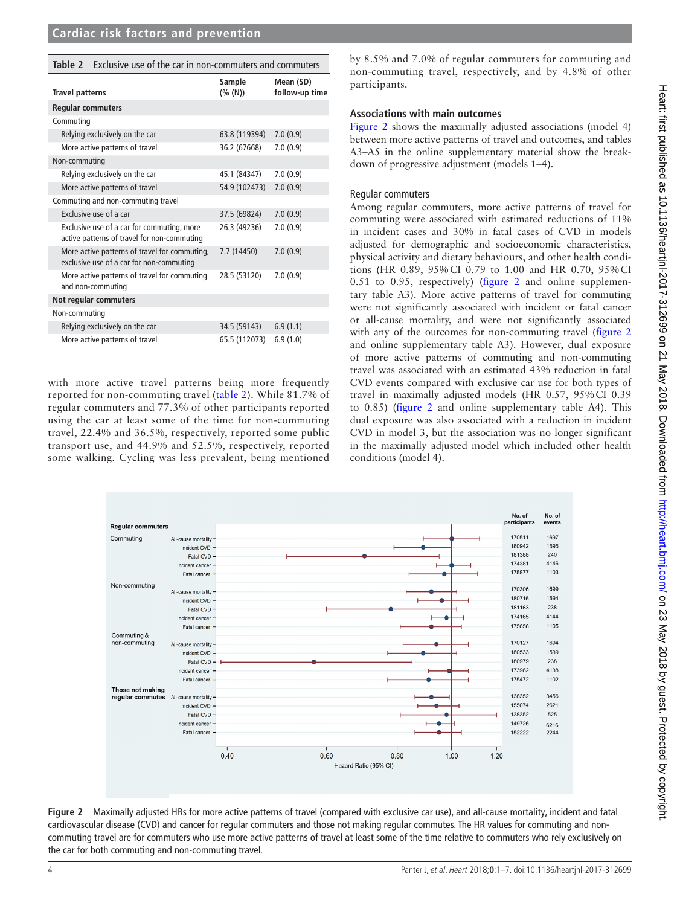# **Cardiac risk factors and prevention**

<span id="page-3-0"></span>

| <b>Table 2</b> Exclusive use of the car in non-commuters and commuters |
|------------------------------------------------------------------------|
|------------------------------------------------------------------------|

| Travel patterns                          |                                                                                           | Sample<br>(% (N)) | Mean (SD)<br>follow-up time |
|------------------------------------------|-------------------------------------------------------------------------------------------|-------------------|-----------------------------|
| Regular commuters                        |                                                                                           |                   |                             |
| Commuting                                |                                                                                           |                   |                             |
| Relying exclusively on the car           |                                                                                           | 63.8 (119394)     | 7.0(0.9)                    |
| More active patterns of travel           |                                                                                           | 36.2 (67668)      | 7.0(0.9)                    |
| Non-commuting                            |                                                                                           |                   |                             |
| Relying exclusively on the car           |                                                                                           | 45.1 (84347)      | 7.0(0.9)                    |
| More active patterns of travel           |                                                                                           | 54.9 (102473)     | 7.0(0.9)                    |
| Commuting and non-commuting travel       |                                                                                           |                   |                             |
| Exclusive use of a car                   |                                                                                           | 37.5 (69824)      | 7.0(0.9)                    |
|                                          | Exclusive use of a car for commuting, more<br>active patterns of travel for non-commuting | 26.3 (49236)      | 7.0(0.9)                    |
| exclusive use of a car for non-commuting | More active patterns of travel for commuting,                                             | 7.7 (14450)       | 7.0(0.9)                    |
| and non-commuting                        | More active patterns of travel for commuting                                              | 28.5 (53120)      | 7.0(0.9)                    |
| Not regular commuters                    |                                                                                           |                   |                             |
| Non-commuting                            |                                                                                           |                   |                             |
| Relying exclusively on the car           |                                                                                           | 34.5 (59143)      | 6.9(1.1)                    |
| More active patterns of travel           |                                                                                           | 65.5 (112073)     | 6.9(1.0)                    |
|                                          |                                                                                           |                   |                             |

with more active travel patterns being more frequently reported for non-commuting travel [\(table](#page-3-0) 2). While 81.7% of regular commuters and 77.3% of other participants reported using the car at least some of the time for non-commuting travel, 22.4% and 36.5%, respectively, reported some public transport use, and 44.9% and 52.5%, respectively, reported some walking. Cycling was less prevalent, being mentioned

by 8.5% and 7.0% of regular commuters for commuting and non-commuting travel, respectively, and by 4.8% of other participants.

#### **Associations with main outcomes**

[Figure](#page-3-1) 2 shows the maximally adjusted associations (model 4) between more active patterns of travel and outcomes, and tables A3–A5 in the online [supplementary material](https://dx.doi.org/10.1136/heartjnl-2017-312699) show the breakdown of progressive adjustment (models 1–4).

#### Regular commuters

Among regular commuters, more active patterns of travel for commuting were associated with estimated reductions of 11% in incident cases and 30% in fatal cases of CVD in models adjusted for demographic and socioeconomic characteristics, physical activity and dietary behaviours, and other health conditions (HR 0.89, 95%CI 0.79 to 1.00 and HR 0.70, 95%CI 0.51 to 0.95, respectively) [\(figure](#page-3-1) 2 and online [supplemen](https://dx.doi.org/10.1136/heartjnl-2017-312699)[tary table A3](https://dx.doi.org/10.1136/heartjnl-2017-312699)). More active patterns of travel for commuting were not significantly associated with incident or fatal cancer or all-cause mortality, and were not significantly associated with any of the outcomes for non-commuting travel [\(figure](#page-3-1) 2) and online [supplementary table A3\)](https://dx.doi.org/10.1136/heartjnl-2017-312699). However, dual exposure of more active patterns of commuting and non-commuting travel was associated with an estimated 43% reduction in fatal CVD events compared with exclusive car use for both types of travel in maximally adjusted models (HR 0.57, 95%CI 0.39 to 0.85) [\(figure](#page-3-1) 2 and online [supplementary table A4](https://dx.doi.org/10.1136/heartjnl-2017-312699)). This dual exposure was also associated with a reduction in incident CVD in model 3, but the association was no longer significant in the maximally adjusted model which included other health conditions (model 4).



<span id="page-3-1"></span>**Figure 2** Maximally adjusted HRs for more active patterns of travel (compared with exclusive car use), and all-cause mortality, incident and fatal cardiovascular disease (CVD) and cancer for regular commuters and those not making regular commutes. The HR values for commuting and noncommuting travel are for commuters who use more active patterns of travel at least some of the time relative to commuters who rely exclusively on the car for both commuting and non-commuting travel.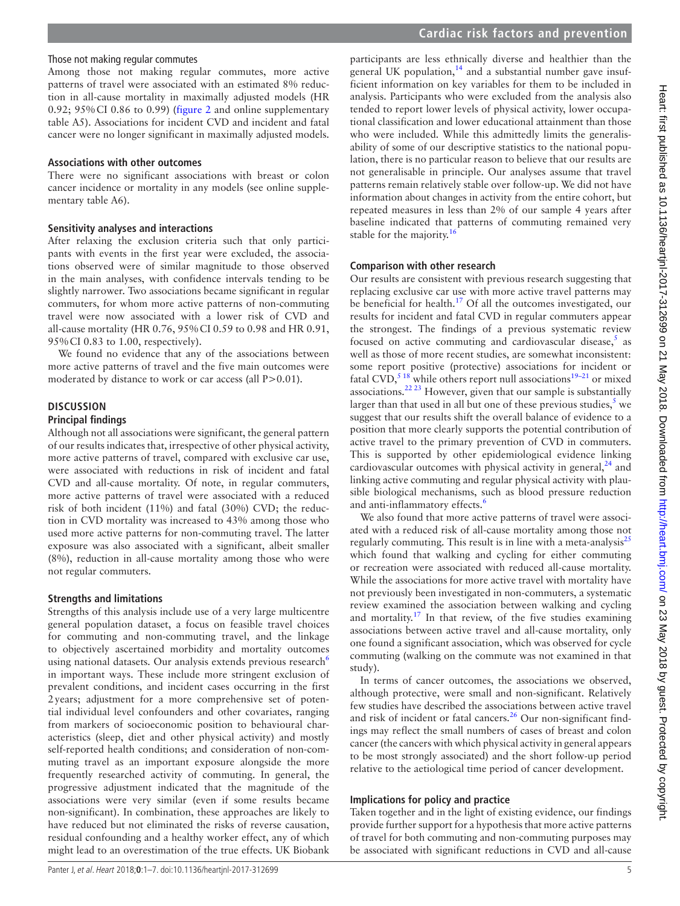### Those not making regular commutes

Among those not making regular commutes, more active patterns of travel were associated with an estimated 8% reduction in all-cause mortality in maximally adjusted models (HR 0.92; 95%CI 0.86 to 0.99) ([figure](#page-3-1) 2 and online [supplementary](https://dx.doi.org/10.1136/heartjnl-2017-312699)  [table A5](https://dx.doi.org/10.1136/heartjnl-2017-312699)). Associations for incident CVD and incident and fatal cancer were no longer significant in maximally adjusted models.

#### **Associations with other outcomes**

There were no significant associations with breast or colon cancer incidence or mortality in any models (see online [supple](https://dx.doi.org/10.1136/heartjnl-2017-312699)[mentary table A6](https://dx.doi.org/10.1136/heartjnl-2017-312699)).

#### **Sensitivity analyses and interactions**

After relaxing the exclusion criteria such that only participants with events in the first year were excluded, the associations observed were of similar magnitude to those observed in the main analyses, with confidence intervals tending to be slightly narrower. Two associations became significant in regular commuters, for whom more active patterns of non-commuting travel were now associated with a lower risk of CVD and all-cause mortality (HR 0.76, 95%CI 0.59 to 0.98 and HR 0.91, 95%CI 0.83 to 1.00, respectively).

We found no evidence that any of the associations between more active patterns of travel and the five main outcomes were moderated by distance to work or car access (all P>0.01).

#### **Discussion**

#### **Principal findings**

Although not all associations were significant, the general pattern of our results indicates that, irrespective of other physical activity, more active patterns of travel, compared with exclusive car use, were associated with reductions in risk of incident and fatal CVD and all-cause mortality. Of note, in regular commuters, more active patterns of travel were associated with a reduced risk of both incident (11%) and fatal (30%) CVD; the reduction in CVD mortality was increased to 43% among those who used more active patterns for non-commuting travel. The latter exposure was also associated with a significant, albeit smaller (8%), reduction in all-cause mortality among those who were not regular commuters.

#### **Strengths and limitations**

Strengths of this analysis include use of a very large multicentre general population dataset, a focus on feasible travel choices for commuting and non-commuting travel, and the linkage to objectively ascertained morbidity and mortality outcomes using national datasets. Our analysis extends previous research<sup>[6](#page-5-11)</sup> in important ways. These include more stringent exclusion of prevalent conditions, and incident cases occurring in the first 2years; adjustment for a more comprehensive set of potential individual level confounders and other covariates, ranging from markers of socioeconomic position to behavioural characteristics (sleep, diet and other physical activity) and mostly self-reported health conditions; and consideration of non-commuting travel as an important exposure alongside the more frequently researched activity of commuting. In general, the progressive adjustment indicated that the magnitude of the associations were very similar (even if some results became non-significant). In combination, these approaches are likely to have reduced but not eliminated the risks of reverse causation, residual confounding and a healthy worker effect, any of which might lead to an overestimation of the true effects. UK Biobank

participants are less ethnically diverse and healthier than the general UK population, $14$  and a substantial number gave insufficient information on key variables for them to be included in analysis. Participants who were excluded from the analysis also tended to report lower levels of physical activity, lower occupational classification and lower educational attainment than those who were included. While this admittedly limits the generalisability of some of our descriptive statistics to the national population, there is no particular reason to believe that our results are not generalisable in principle. Our analyses assume that travel patterns remain relatively stable over follow-up. We did not have information about changes in activity from the entire cohort, but repeated measures in less than 2% of our sample 4 years after baseline indicated that patterns of commuting remained very stable for the majority.<sup>16</sup>

#### **Comparison with other research**

Our results are consistent with previous research suggesting that replacing exclusive car use with more active travel patterns may be beneficial for health.<sup>17</sup> Of all the outcomes investigated, our results for incident and fatal CVD in regular commuters appear the strongest. The findings of a previous systematic review focused on active commuting and cardiovascular disease, $5$  as well as those of more recent studies, are somewhat inconsistent: some report positive (protective) associations for incident or fatal CVD,<sup>5</sup> 18 while others report null associations<sup>19–21</sup> or mixed associations.[22 23](#page-6-3) However, given that our sample is substantially larger than that used in all but one of these previous studies, $<sup>5</sup>$  $<sup>5</sup>$  $<sup>5</sup>$  we</sup> suggest that our results shift the overall balance of evidence to a position that more clearly supports the potential contribution of active travel to the primary prevention of CVD in commuters. This is supported by other epidemiological evidence linking cardiovascular outcomes with physical activity in general,  $24$  and linking active commuting and regular physical activity with plausible biological mechanisms, such as blood pressure reduction and anti-inflammatory effects.<sup>[6](#page-5-11)</sup>

We also found that more active patterns of travel were associated with a reduced risk of all-cause mortality among those not regularly commuting. This result is in line with a meta-analysis $^{25}$  $^{25}$  $^{25}$ which found that walking and cycling for either commuting or recreation were associated with reduced all-cause mortality. While the associations for more active travel with mortality have not previously been investigated in non-commuters, a systematic review examined the association between walking and cycling and mortality.<sup>17</sup> In that review, of the five studies examining associations between active travel and all-cause mortality, only one found a significant association, which was observed for cycle commuting (walking on the commute was not examined in that study).

In terms of cancer outcomes, the associations we observed, although protective, were small and non-significant. Relatively few studies have described the associations between active travel and risk of incident or fatal cancers.<sup>[26](#page-6-6)</sup> Our non-significant findings may reflect the small numbers of cases of breast and colon cancer (the cancers with which physical activity in general appears to be most strongly associated) and the short follow-up period relative to the aetiological time period of cancer development.

#### **Implications for policy and practice**

Taken together and in the light of existing evidence, our findings provide further support for a hypothesis that more active patterns of travel for both commuting and non-commuting purposes may be associated with significant reductions in CVD and all-cause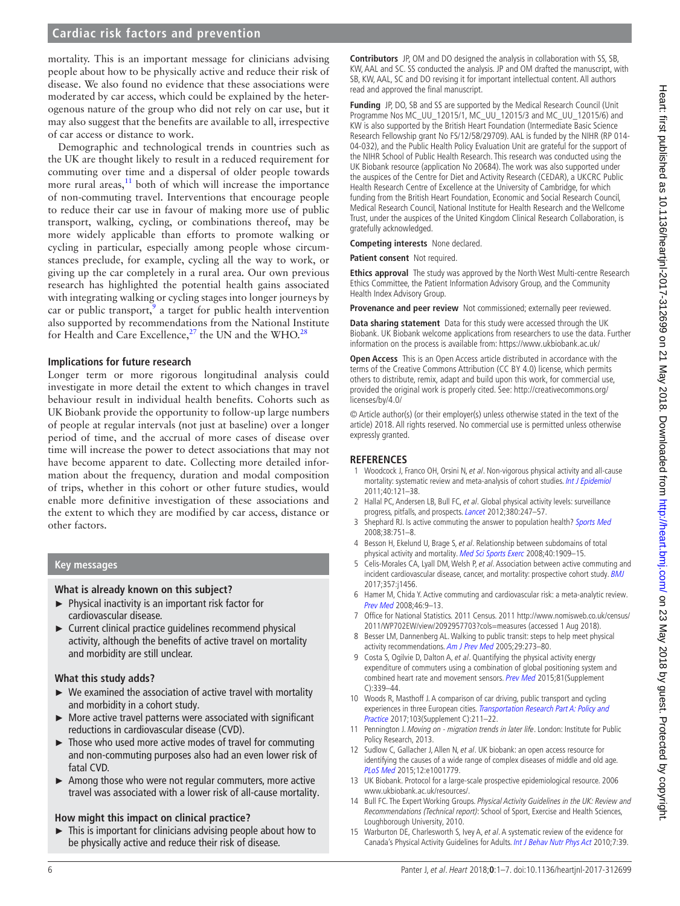# **Cardiac risk factors and prevention**

mortality. This is an important message for clinicians advising people about how to be physically active and reduce their risk of disease. We also found no evidence that these associations were moderated by car access, which could be explained by the heterogenous nature of the group who did not rely on car use, but it may also suggest that the benefits are available to all, irrespective of car access or distance to work.

Demographic and technological trends in countries such as the UK are thought likely to result in a reduced requirement for commuting over time and a dispersal of older people towards more rural areas, $11$  both of which will increase the importance of non-commuting travel. Interventions that encourage people to reduce their car use in favour of making more use of public transport, walking, cycling, or combinations thereof, may be more widely applicable than efforts to promote walking or cycling in particular, especially among people whose circumstances preclude, for example, cycling all the way to work, or giving up the car completely in a rural area. Our own previous research has highlighted the potential health gains associated with integrating walking or cycling stages into longer journeys by car or public transport, $9$  a target for public health intervention also supported by recommendations from the National Institute for Health and Care Excellence,<sup>[27](#page-6-7)</sup> the UN and the WHO.<sup>28</sup>

#### **Implications for future research**

Longer term or more rigorous longitudinal analysis could investigate in more detail the extent to which changes in travel behaviour result in individual health benefits. Cohorts such as UK Biobank provide the opportunity to follow-up large numbers of people at regular intervals (not just at baseline) over a longer period of time, and the accrual of more cases of disease over time will increase the power to detect associations that may not have become apparent to date. Collecting more detailed information about the frequency, duration and modal composition of trips, whether in this cohort or other future studies, would enable more definitive investigation of these associations and the extent to which they are modified by car access, distance or other factors.

#### **Key messages**

#### **What is already known on this subject?**

- ► Physical inactivity is an important risk factor for cardiovascular disease.
- ► Current clinical practice guidelines recommend physical activity, although the benefits of active travel on mortality and morbidity are still unclear.

#### **What this study adds?**

- ► We examined the association of active travel with mortality and morbidity in a cohort study.
- ► More active travel patterns were associated with significant reductions in cardiovascular disease (CVD).
- ► Those who used more active modes of travel for commuting and non-commuting purposes also had an even lower risk of fatal CVD.
- ► Among those who were not regular commuters, more active travel was associated with a lower risk of all-cause mortality.

#### **How might this impact on clinical practice?**

 $\blacktriangleright$  This is important for clinicians advising people about how to be physically active and reduce their risk of disease.

**Contributors** JP, OM and DO designed the analysis in collaboration with SS, SB, KW, AAL and SC. SS conducted the analysis. JP and OM drafted the manuscript, with SB, KW, AAL, SC and DO revising it for important intellectual content. All authors read and approved the final manuscript.

**Funding** JP, DO, SB and SS are supported by the Medical Research Council (Unit Programme Nos MC\_UU\_12015/1, MC\_UU\_12015/3 and MC\_UU\_12015/6) and KW is also supported by the British Heart Foundation (Intermediate Basic Science Research Fellowship grant No FS/12/58/29709). AAL is funded by the NIHR (RP 014- 04-032), and the Public Health Policy Evaluation Unit are grateful for the support of the NIHR School of Public Health Research. This research was conducted using the UK Biobank resource (application No 20684). The work was also supported under the auspices of the Centre for Diet and Activity Research (CEDAR), a UKCRC Public Health Research Centre of Excellence at the University of Cambridge, for which funding from the British Heart Foundation, Economic and Social Research Council, Medical Research Council, National Institute for Health Research and the Wellcome Trust, under the auspices of the United Kingdom Clinical Research Collaboration, is gratefully acknowledged.

#### **Competing interests** None declared.

**Patient consent** Not required.

**Ethics approval** The study was approved by the North West Multi-centre Research Ethics Committee, the Patient Information Advisory Group, and the Community Health Index Advisory Group.

**Provenance and peer review** Not commissioned; externally peer reviewed.

**Data sharing statement** Data for this study were accessed through the UK Biobank. UK Biobank welcome applications from researchers to use the data. Further information on the process is available from:<https://www.ukbiobank.ac.uk/>

**Open Access** This is an Open Access article distributed in accordance with the terms of the Creative Commons Attribution (CC BY 4.0) license, which permits others to distribute, remix, adapt and build upon this work, for commercial use, provided the original work is properly cited. See: [http://creativecommons.org/](http://creativecommons.org/licenses/by/4.0/) [licenses/by/4.0/](http://creativecommons.org/licenses/by/4.0/)

© Article author(s) (or their employer(s) unless otherwise stated in the text of the article) 2018. All rights reserved. No commercial use is permitted unless otherwise expressly granted.

## **References**

- <span id="page-5-0"></span>1 Woodcock J, Franco OH, Orsini N, et al. Non-vigorous physical activity and all-cause mortality: systematic review and meta-analysis of cohort studies. [Int J Epidemiol](http://dx.doi.org/10.1093/ije/dyq104) 2011;40:121–38.
- <span id="page-5-1"></span>2 Hallal PC, Andersen LB, Bull FC, et al. Global physical activity levels: surveillance progress, pitfalls, and prospects. [Lancet](http://dx.doi.org/10.1016/S0140-6736(12)60646-1) 2012;380:247-57.
- <span id="page-5-2"></span>3 Shephard RJ. Is active commuting the answer to population health? [Sports Med](http://dx.doi.org/10.2165/00007256-200838090-00004) 2008;38:751–8.
- <span id="page-5-3"></span>4 Besson H, Ekelund U, Brage S, et al. Relationship between subdomains of total physical activity and mortality. [Med Sci Sports Exerc](http://dx.doi.org/10.1249/MSS.0b013e318180bcad) 2008;40:1909-15.
- <span id="page-5-12"></span>5 Celis-Morales CA, Lyall DM, Welsh P, et al. Association between active commuting and incident cardiovascular disease, cancer, and mortality: prospective cohort study. [BMJ](http://dx.doi.org/10.1136/bmj.j1456) 2017;357:j1456.
- <span id="page-5-11"></span>6 Hamer M, Chida Y. Active commuting and cardiovascular risk: a meta-analytic review. [Prev Med](http://dx.doi.org/10.1016/j.ypmed.2007.03.006) 2008;46:9–13.
- <span id="page-5-4"></span>7 Office for National Statistics. 2011 Census. 2011 [http://www.nomisweb.co.uk/census/](http://www.nomisweb.co.uk/census/2011/WP702EW/view/2092957703?cols=measures) [2011/WP702EW/view/2092957703?cols=measures](http://www.nomisweb.co.uk/census/2011/WP702EW/view/2092957703?cols=measures) (accessed 1 Aug 2018).
- <span id="page-5-5"></span>8 Besser LM, Dannenberg AL. Walking to public transit: steps to help meet physical activity recommendations. [Am J Prev Med](http://dx.doi.org/10.1016/j.amepre.2005.06.010) 2005;29:273-80.
- <span id="page-5-7"></span>9 Costa S, Ogilvie D, Dalton A, et al. Quantifying the physical activity energy expenditure of commuters using a combination of global positioning system and combined heart rate and movement sensors. [Prev Med](http://dx.doi.org/10.1016/j.ypmed.2015.09.022) 2015;81(Supplement C):339–44.
- <span id="page-5-6"></span>10 Woods R, Masthoff J. A comparison of car driving, public transport and cycling experiences in three European cities. Transportation Research Part A: Policy and [Practice](http://dx.doi.org/10.1016/j.tra.2017.06.002) 2017;103(Supplement C):211–22.
- <span id="page-5-8"></span>11 Pennington J. Moving on - migration trends in later life. London: Institute for Public Policy Research, 2013.
- <span id="page-5-9"></span>12 Sudlow C, Gallacher J, Allen N, et al. UK biobank: an open access resource for identifying the causes of a wide range of complex diseases of middle and old age. [PLoS Med](http://dx.doi.org/10.1371/journal.pmed.1001779) 2015;12:e1001779.
- 13 UK Biobank. Protocol for a large-scale prospective epidemiological resource. 2006 <www.ukbiobank.ac.uk/resources/>.
- <span id="page-5-10"></span>14 Bull FC. The Expert Working Groups. Physical Activity Guidelines in the UK: Review and Recommendations (Technical report): School of Sport, Exercise and Health Sciences, Loughborough University, 2010.
- 15 Warburton DE, Charlesworth S, Ivey A, et al. A systematic review of the evidence for Canada's Physical Activity Guidelines for Adults. [Int J Behav Nutr Phys Act](http://dx.doi.org/10.1186/1479-5868-7-39) 2010;7:39.